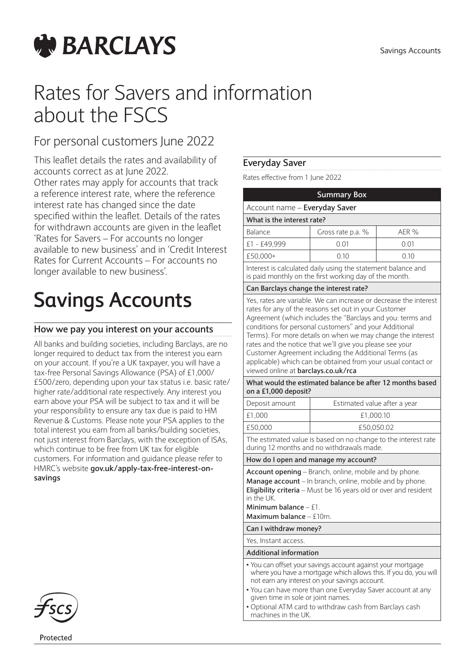

# Rates for Savers and information about the FSCS

# For personal customers June 2022

This leaflet details the rates and availability of accounts correct as at June 2022. Other rates may apply for accounts that track a reference interest rate, where the reference interest rate has changed since the date specified within the leaflet. Details of the rates for withdrawn accounts are given in the leaflet 'Rates for Savers – For accounts no longer available to new business' and in 'Credit Interest Rates for Current Accounts – For accounts no longer available to new business'.

# **Savings Accounts**

# **How we pay you interest on your accounts**

All banks and building societies, including Barclays, are no longer required to deduct tax from the interest you earn on your account. If you're a UK taxpayer, you will have a tax-free Personal Savings Allowance (PSA) of £1,000/ £500/zero, depending upon your tax status i.e. basic rate/ higher rate/additional rate respectively. Any interest you earn above your PSA will be subject to tax and it will be your responsibility to ensure any tax due is paid to HM Revenue & Customs. Please note your PSA applies to the total interest you earn from all banks/building societies, not just interest from Barclays, with the exception of ISAs, which continue to be free from UK tax for eligible customers. For information and guidance please refer to HMRC's website **gov.uk/apply-tax-free-interest-onsavings**



Protected

# **Everyday Saver**

Rates effective from 1 June 2022

| <b>Summary Box</b>                                                                                                                                                                                                                                                                                                                                                                                                                                                                                                                            |                               |       |  |
|-----------------------------------------------------------------------------------------------------------------------------------------------------------------------------------------------------------------------------------------------------------------------------------------------------------------------------------------------------------------------------------------------------------------------------------------------------------------------------------------------------------------------------------------------|-------------------------------|-------|--|
|                                                                                                                                                                                                                                                                                                                                                                                                                                                                                                                                               | Account name - Everyday Saver |       |  |
| What is the interest rate?                                                                                                                                                                                                                                                                                                                                                                                                                                                                                                                    |                               |       |  |
| Balance                                                                                                                                                                                                                                                                                                                                                                                                                                                                                                                                       | Gross rate p.a. %             | AER % |  |
| £1 - £49,999                                                                                                                                                                                                                                                                                                                                                                                                                                                                                                                                  | 0.01                          | 0.01  |  |
| £50,000+                                                                                                                                                                                                                                                                                                                                                                                                                                                                                                                                      | 0.10                          | 0.10  |  |
| Interest is calculated daily using the statement balance and<br>is paid monthly on the first working day of the month.                                                                                                                                                                                                                                                                                                                                                                                                                        |                               |       |  |
| Can Barclays change the interest rate?                                                                                                                                                                                                                                                                                                                                                                                                                                                                                                        |                               |       |  |
| Yes, rates are variable. We can increase or decrease the interest<br>rates for any of the reasons set out in your Customer<br>Agreement (which includes the "Barclays and you: terms and<br>conditions for personal customers" and your Additional<br>Terms). For more details on when we may change the interest<br>rates and the notice that we'll give you please see your<br>Customer Agreement including the Additional Terms (as<br>applicable) which can be obtained from your usual contact or<br>viewed online at barclays.co.uk/rca |                               |       |  |
| What would the estimated balance be after 12 months based<br>on a £1,000 deposit?                                                                                                                                                                                                                                                                                                                                                                                                                                                             |                               |       |  |
| Deposit amount                                                                                                                                                                                                                                                                                                                                                                                                                                                                                                                                | Estimated value after a year  |       |  |
| £1,000                                                                                                                                                                                                                                                                                                                                                                                                                                                                                                                                        | £1,000.10                     |       |  |
| £50,000                                                                                                                                                                                                                                                                                                                                                                                                                                                                                                                                       | £50,050.02                    |       |  |
| The estimated value is based on no change to the interest rate<br>during 12 months and no withdrawals made.                                                                                                                                                                                                                                                                                                                                                                                                                                   |                               |       |  |
| How do I open and manage my account?                                                                                                                                                                                                                                                                                                                                                                                                                                                                                                          |                               |       |  |

**Account opening** – Branch, online, mobile and by phone. **Manage account** – In branch, online, mobile and by phone. **Eligibility criteria** – Must be 16 years old or over and resident in the UK.

**Minimum balance** – £1.

**Maximum balance** – £10m.

**Can I withdraw money?** Yes, Instant access.

#### **Additional information**

- You can offset your savings account against your mortgage where you have a mortgage which allows this. If you do, you will not earn any interest on your savings account.
- You can have more than one Everyday Saver account at any given time in sole or joint names.
- Optional ATM card to withdraw cash from Barclays cash machines in the UK.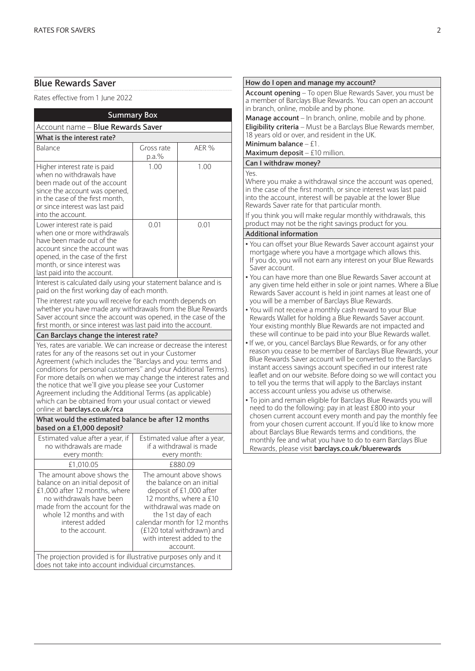# **Blue Rewards Saver**

Rates effective from 1 June 2022

| <b>Summary Box</b>                                                                                                                                                                                                                                                                                                                                                                                                                                                                                                                            |                                                                          |                                                                                                                                                                                                                                                                   |
|-----------------------------------------------------------------------------------------------------------------------------------------------------------------------------------------------------------------------------------------------------------------------------------------------------------------------------------------------------------------------------------------------------------------------------------------------------------------------------------------------------------------------------------------------|--------------------------------------------------------------------------|-------------------------------------------------------------------------------------------------------------------------------------------------------------------------------------------------------------------------------------------------------------------|
| Account name - Blue Rewards Saver                                                                                                                                                                                                                                                                                                                                                                                                                                                                                                             |                                                                          |                                                                                                                                                                                                                                                                   |
| What is the interest rate?                                                                                                                                                                                                                                                                                                                                                                                                                                                                                                                    |                                                                          |                                                                                                                                                                                                                                                                   |
| Balance                                                                                                                                                                                                                                                                                                                                                                                                                                                                                                                                       | Gross rate<br>p.a.%                                                      | AER %                                                                                                                                                                                                                                                             |
| Higher interest rate is paid<br>when no withdrawals have<br>been made out of the account<br>since the account was opened,<br>in the case of the first month,<br>or since interest was last paid<br>into the account.                                                                                                                                                                                                                                                                                                                          | 1.00                                                                     | 1.00                                                                                                                                                                                                                                                              |
| Lower interest rate is paid<br>when one or more withdrawals<br>have been made out of the<br>account since the account was<br>opened, in the case of the first<br>month, or since interest was<br>last paid into the account.                                                                                                                                                                                                                                                                                                                  | 0.01                                                                     | 0.01                                                                                                                                                                                                                                                              |
| Interest is calculated daily using your statement balance and is<br>paid on the first working day of each month.<br>The interest rate you will receive for each month depends on<br>whether you have made any withdrawals from the Blue Rewards<br>Saver account since the account was opened, in the case of the                                                                                                                                                                                                                             |                                                                          |                                                                                                                                                                                                                                                                   |
| first month, or since interest was last paid into the account.                                                                                                                                                                                                                                                                                                                                                                                                                                                                                |                                                                          |                                                                                                                                                                                                                                                                   |
| Can Barclays change the interest rate?                                                                                                                                                                                                                                                                                                                                                                                                                                                                                                        |                                                                          |                                                                                                                                                                                                                                                                   |
| Yes, rates are variable. We can increase or decrease the interest<br>rates for any of the reasons set out in your Customer<br>Agreement (which includes the "Barclays and you: terms and<br>conditions for personal customers" and your Additional Terms).<br>For more details on when we may change the interest rates and<br>the notice that we'll give you please see your Customer<br>Agreement including the Additional Terms (as applicable)<br>which can be obtained from your usual contact or viewed<br>online at barclays.co.uk/rca |                                                                          |                                                                                                                                                                                                                                                                   |
| What would the estimated balance be after 12 months<br>based on a £1,000 deposit?                                                                                                                                                                                                                                                                                                                                                                                                                                                             |                                                                          |                                                                                                                                                                                                                                                                   |
| Estimated value after a year, if<br>no withdrawals are made<br>every month:                                                                                                                                                                                                                                                                                                                                                                                                                                                                   | Estimated value after a year,<br>if a withdrawal is made<br>every month: |                                                                                                                                                                                                                                                                   |
| £1,010.05<br>£880.09                                                                                                                                                                                                                                                                                                                                                                                                                                                                                                                          |                                                                          |                                                                                                                                                                                                                                                                   |
| The amount above shows the<br>balance on an initial deposit of<br>£1,000 after 12 months, where<br>no withdrawals have been<br>made from the account for the<br>whole 12 months and with<br>interest added<br>to the account.                                                                                                                                                                                                                                                                                                                 |                                                                          | The amount above shows<br>the balance on an initial<br>deposit of £1,000 after<br>12 months, where a £10<br>withdrawal was made on<br>the 1st day of each<br>calendar month for 12 months<br>(£120 total withdrawn) and<br>with interest added to the<br>account. |
| The projection provided is for illustrative purposes only and it<br>does not take into account individual circumstances.                                                                                                                                                                                                                                                                                                                                                                                                                      |                                                                          |                                                                                                                                                                                                                                                                   |

#### **How do I open and manage my account? Account opening** – To open Blue Rewards Saver, you must be a member of Barclays Blue Rewards. You can open an account in branch, online, mobile and by phone. **Manage account** – In branch, online, mobile and by phone. **Eligibility criteria** – Must be a Barclays Blue Rewards member, 18 years old or over, and resident in the UK. **Minimum balance** – £1. **Maximum deposit** – £10 million. **Can I withdraw money?** Yes. Where you make a withdrawal since the account was opened. in the case of the first month, or since interest was last paid into the account, interest will be payable at the lower Blue Rewards Saver rate for that particular month. If you think you will make regular monthly withdrawals, this product may not be the right savings product for you. **Additional information** • You can offset your Blue Rewards Saver account against your mortgage where you have a mortgage which allows this. If you do, you will not earn any interest on your Blue Rewards Saver account. • You can have more than one Blue Rewards Saver account at any given time held either in sole or joint names. Where a Blue Rewards Saver account is held in joint names at least one of you will be a member of Barclays Blue Rewards. • You will not receive a monthly cash reward to your Blue Rewards Wallet for holding a Blue Rewards Saver account. Your existing monthly Blue Rewards are not impacted and these will continue to be paid into your Blue Rewards wallet. • If we, or you, cancel Barclays Blue Rewards, or for any other reason you cease to be member of Barclays Blue Rewards, your Blue Rewards Saver account will be converted to the Barclays instant access savings account specified in our interest rate leaflet and on our website. Before doing so we will contact you to tell you the terms that will apply to the Barclays instant access account unless you advise us otherwise. • To join and remain eligible for Barclays Blue Rewards you will need to do the following: pay in at least £800 into your chosen current account every month and pay the monthly fee from your chosen current account. If you'd like to know more about Barclays Blue Rewards terms and conditions, the monthly fee and what you have to do to earn Barclays Blue Rewards, please visit **barclays.co.uk/bluerewards**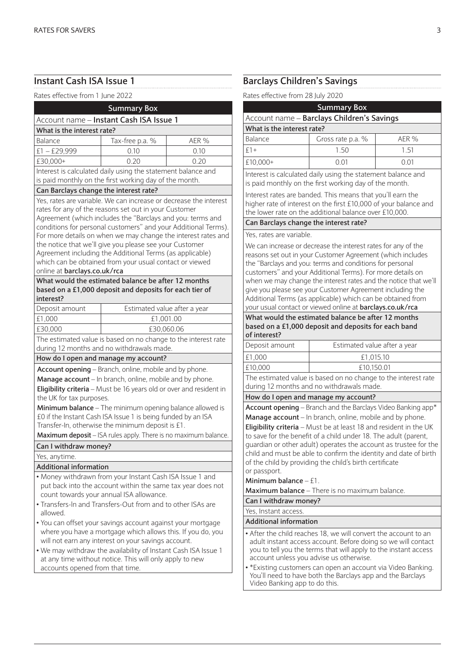# **Instant Cash ISA Issue 1**

Rates effective from 1 June 2022

| INALES ETIECLIVE ITUITI T JUITE ZUZZ   |                                                                                                                                                                                                                                                                                                                                                                                                                                                                                                                                                                                                                                 |                              |
|----------------------------------------|---------------------------------------------------------------------------------------------------------------------------------------------------------------------------------------------------------------------------------------------------------------------------------------------------------------------------------------------------------------------------------------------------------------------------------------------------------------------------------------------------------------------------------------------------------------------------------------------------------------------------------|------------------------------|
|                                        | <b>Summary Box</b>                                                                                                                                                                                                                                                                                                                                                                                                                                                                                                                                                                                                              |                              |
|                                        | Account name - Instant Cash ISA Issue 1                                                                                                                                                                                                                                                                                                                                                                                                                                                                                                                                                                                         |                              |
| What is the interest rate?             |                                                                                                                                                                                                                                                                                                                                                                                                                                                                                                                                                                                                                                 |                              |
| Balance                                | Tax-free p.a. %                                                                                                                                                                                                                                                                                                                                                                                                                                                                                                                                                                                                                 | AER %                        |
| $£1 - £29,999$                         | 0.10                                                                                                                                                                                                                                                                                                                                                                                                                                                                                                                                                                                                                            | 0.10                         |
| £30,000+                               | 0.20                                                                                                                                                                                                                                                                                                                                                                                                                                                                                                                                                                                                                            | 0.20                         |
|                                        | Interest is calculated daily using the statement balance and                                                                                                                                                                                                                                                                                                                                                                                                                                                                                                                                                                    |                              |
|                                        | is paid monthly on the first working day of the month.                                                                                                                                                                                                                                                                                                                                                                                                                                                                                                                                                                          |                              |
| Can Barclays change the interest rate? |                                                                                                                                                                                                                                                                                                                                                                                                                                                                                                                                                                                                                                 |                              |
| online at barclays.co.uk/rca           | Yes, rates are variable. We can increase or decrease the interest<br>rates for any of the reasons set out in your Customer<br>Agreement (which includes the "Barclays and you: terms and<br>conditions for personal customers" and your Additional Terms).<br>For more details on when we may change the interest rates and<br>the notice that we'll give you please see your Customer<br>Agreement including the Additional Terms (as applicable)<br>which can be obtained from your usual contact or viewed<br>What would the estimated balance be after 12 months<br>based on a £1,000 deposit and deposits for each tier of |                              |
| interest?                              |                                                                                                                                                                                                                                                                                                                                                                                                                                                                                                                                                                                                                                 |                              |
| Deposit amount                         |                                                                                                                                                                                                                                                                                                                                                                                                                                                                                                                                                                                                                                 | Estimated value after a year |
| £1,000                                 |                                                                                                                                                                                                                                                                                                                                                                                                                                                                                                                                                                                                                                 | £1,001.00                    |
| £30,000                                | £30,060.06                                                                                                                                                                                                                                                                                                                                                                                                                                                                                                                                                                                                                      |                              |
|                                        | The estimated value is based on no change to the interest rate                                                                                                                                                                                                                                                                                                                                                                                                                                                                                                                                                                  |                              |
|                                        | during 12 months and no withdrawals made.                                                                                                                                                                                                                                                                                                                                                                                                                                                                                                                                                                                       |                              |
|                                        | How do I open and manage my account?                                                                                                                                                                                                                                                                                                                                                                                                                                                                                                                                                                                            |                              |
|                                        | Account opening - Branch, online, mobile and by phone.                                                                                                                                                                                                                                                                                                                                                                                                                                                                                                                                                                          |                              |
| the UK for tax purposes.               | Manage account - In branch, online, mobile and by phone.<br>Eligibility criteria - Must be 16 years old or over and resident in<br>Minimum balance - The minimum opening balance allowed is<br>£0 if the Instant Cash ISA Issue 1 is being funded by an ISA<br>Transfer-In, otherwise the minimum deposit is £1.                                                                                                                                                                                                                                                                                                                |                              |
|                                        | Maximum deposit - ISA rules apply. There is no maximum balance.                                                                                                                                                                                                                                                                                                                                                                                                                                                                                                                                                                 |                              |
| Can I withdraw money?                  |                                                                                                                                                                                                                                                                                                                                                                                                                                                                                                                                                                                                                                 |                              |
| Yes, anytime.                          |                                                                                                                                                                                                                                                                                                                                                                                                                                                                                                                                                                                                                                 |                              |
| <b>Additional information</b>          |                                                                                                                                                                                                                                                                                                                                                                                                                                                                                                                                                                                                                                 |                              |
| allowed.                               | . Money withdrawn from your Instant Cash ISA Issue 1 and<br>put back into the account within the same tax year does not<br>count towards your annual ISA allowance.<br>• Transfers-In and Transfers-Out from and to other ISAs are<br>• You can offset your savings account against your mortgage<br>where you have a mortgage which allows this. If you do, you<br>will not earn any interest on your savings account.<br>. We may withdraw the availability of Instant Cash ISA Issue 1                                                                                                                                       |                              |
| accounts opened from that time.        | at any time without notice. This will only apply to new                                                                                                                                                                                                                                                                                                                                                                                                                                                                                                                                                                         |                              |

# **Barclays Children's Savings**

Rates effective from 28 July 2020

| <b>Summary Box</b>                         |                   |       |
|--------------------------------------------|-------------------|-------|
| Account name - Barclays Children's Savings |                   |       |
| What is the interest rate?                 |                   |       |
| Balance                                    | Gross rate p.a. % | AER % |
| $f1+$                                      | 150               | 151   |
| £10,000+                                   | 0 Q1              | N N 1 |

nterest is calculated daily using the statement balance and s paid monthly on the first working day of the month.

nterest rates are banded. This means that you'll earn the higher rate of interest on the first £10,000 of your balance and the lower rate on the additional balance over £10,000.

### **Can Barclays change the interest rate?**

#### Yes, rates are variable.

We can increase or decrease the interest rates for any of the reasons set out in your Customer Agreement (which includes the "Barclays and you: terms and conditions for personal customers" and your Additional Terms). For more details on when we may change the interest rates and the notice that we'll give you please see your Customer Agreement including the Additional Terms (as applicable) which can be obtained from your usual contact or viewed online at **barclays.co.uk/rca**

#### **What would the estimated balance be after 12 months based on a £1,000 deposit and deposits for each band of interest?**

| Deposit amount | Estimated value after a year |
|----------------|------------------------------|
| £1,000         | £1.015.10                    |
| E10,000        | £10.150.01                   |
|                |                              |

The estimated value is based on no change to the interest rate during 12 months and no withdrawals made.

#### **How do I open and manage my account?**

**Account opening** – Branch and the Barclays Video Banking app\* **Manage account** – In branch, online, mobile and by phone. **Eligibility criteria** – Must be at least 18 and resident in the UK to save for the benefit of a child under 18. The adult (parent, guardian or other adult) operates the account as trustee for the child and must be able to confirm the identity and date of birth of the child by providing the child's birth certificate or passport.

#### **Minimum balance** – £1.

**Maximum balance** – There is no maximum balance.

**Can I withdraw money?**

### Yes, Instant access.

### **Additional information**

- After the child reaches 18, we will convert the account to an adult instant access account. Before doing so we will contact you to tell you the terms that will apply to the instant access account unless you advise us otherwise.
- \*Existing customers can open an account via Video Banking. You'll need to have both the Barclays app and the Barclays Video Banking app to do this.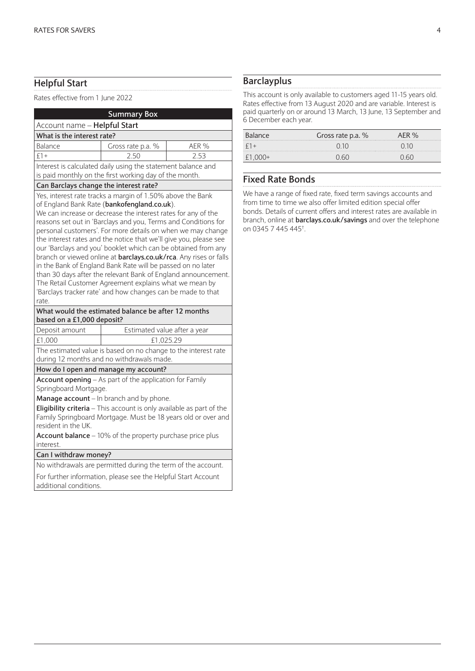# **Helpful Start**

Rates effective from 1 June 2022

|                                                                                                             | <b>Summary Box</b>                                                                                                                                                                                                                                                                                                                                                                                                                                                                                                                                                                                                                                                                                                |       |  |
|-------------------------------------------------------------------------------------------------------------|-------------------------------------------------------------------------------------------------------------------------------------------------------------------------------------------------------------------------------------------------------------------------------------------------------------------------------------------------------------------------------------------------------------------------------------------------------------------------------------------------------------------------------------------------------------------------------------------------------------------------------------------------------------------------------------------------------------------|-------|--|
| Account name - Helpful Start                                                                                |                                                                                                                                                                                                                                                                                                                                                                                                                                                                                                                                                                                                                                                                                                                   |       |  |
| What is the interest rate?                                                                                  |                                                                                                                                                                                                                                                                                                                                                                                                                                                                                                                                                                                                                                                                                                                   |       |  |
| Balance                                                                                                     | Gross rate p.a. %                                                                                                                                                                                                                                                                                                                                                                                                                                                                                                                                                                                                                                                                                                 | AER % |  |
| $£1+$                                                                                                       | 2.50                                                                                                                                                                                                                                                                                                                                                                                                                                                                                                                                                                                                                                                                                                              | 2.53  |  |
|                                                                                                             | Interest is calculated daily using the statement balance and                                                                                                                                                                                                                                                                                                                                                                                                                                                                                                                                                                                                                                                      |       |  |
| is paid monthly on the first working day of the month.                                                      |                                                                                                                                                                                                                                                                                                                                                                                                                                                                                                                                                                                                                                                                                                                   |       |  |
| Can Barclays change the interest rate?                                                                      |                                                                                                                                                                                                                                                                                                                                                                                                                                                                                                                                                                                                                                                                                                                   |       |  |
|                                                                                                             | of England Bank Rate (bankofengland.co.uk).<br>We can increase or decrease the interest rates for any of the<br>reasons set out in 'Barclays and you, Terms and Conditions for<br>personal customers'. For more details on when we may change<br>the interest rates and the notice that we'll give you, please see<br>our 'Barclays and you' booklet which can be obtained from any<br>branch or viewed online at barclays.co.uk/rca. Any rises or falls<br>in the Bank of England Bank Rate will be passed on no later<br>than 30 days after the relevant Bank of England announcement.<br>The Retail Customer Agreement explains what we mean by<br>'Barclays tracker rate' and how changes can be made to that |       |  |
| rate.                                                                                                       | What would the estimated balance be after 12 months                                                                                                                                                                                                                                                                                                                                                                                                                                                                                                                                                                                                                                                               |       |  |
| based on a £1,000 deposit?                                                                                  |                                                                                                                                                                                                                                                                                                                                                                                                                                                                                                                                                                                                                                                                                                                   |       |  |
| Deposit amount                                                                                              | Estimated value after a year                                                                                                                                                                                                                                                                                                                                                                                                                                                                                                                                                                                                                                                                                      |       |  |
| £1,000                                                                                                      | £1,025.29                                                                                                                                                                                                                                                                                                                                                                                                                                                                                                                                                                                                                                                                                                         |       |  |
| The estimated value is based on no change to the interest rate<br>during 12 months and no withdrawals made. |                                                                                                                                                                                                                                                                                                                                                                                                                                                                                                                                                                                                                                                                                                                   |       |  |
|                                                                                                             | How do I open and manage my account?                                                                                                                                                                                                                                                                                                                                                                                                                                                                                                                                                                                                                                                                              |       |  |
| Springboard Mortgage.<br>resident in the UK.<br>interest.                                                   | Account opening - As part of the application for Family<br><b>Manage account</b> – In branch and by phone.<br><b>Eligibility criteria</b> $-$ This account is only available as part of the<br>Family Springboard Mortgage. Must be 18 years old or over and<br>Account balance - 10% of the property purchase price plus                                                                                                                                                                                                                                                                                                                                                                                         |       |  |
| Can I withdraw money?                                                                                       |                                                                                                                                                                                                                                                                                                                                                                                                                                                                                                                                                                                                                                                                                                                   |       |  |
|                                                                                                             | No withdrawals are permitted during the term of the account.                                                                                                                                                                                                                                                                                                                                                                                                                                                                                                                                                                                                                                                      |       |  |
|                                                                                                             |                                                                                                                                                                                                                                                                                                                                                                                                                                                                                                                                                                                                                                                                                                                   |       |  |

For further information, please see the Helpful Start Account additional conditions.

# **Barclayplus**

This account is only available to customers aged 11-15 years old. Rates effective from 13 August 2020 and are variable. Interest is paid quarterly on or around 13 March, 13 June, 13 September and 6 December each year.

| <b>Balance</b> | Gross rate p.a. % |  |
|----------------|-------------------|--|
|                |                   |  |
|                |                   |  |

# **Fixed Rate Bonds**

We have a range of fixed rate, fixed term savings accounts and from time to time we also offer limited edition special offer bonds. Details of current offers and interest rates are available in branch, online at **barclays.co.uk/savings** and over the telephone on 0345 7 445 445† .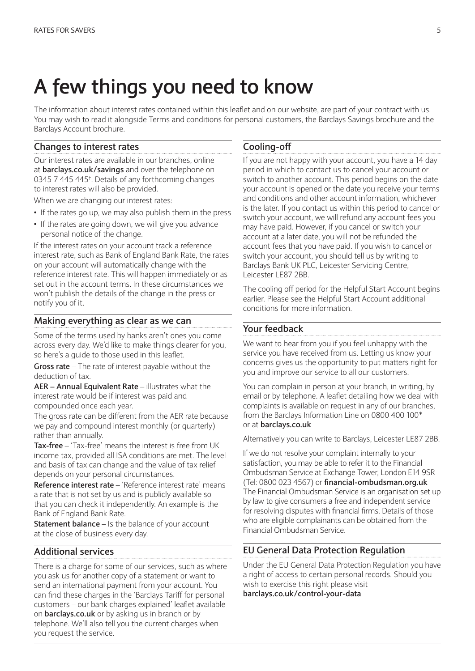# **A few things you need to know**

The information about interest rates contained within this leaflet and on our website, are part of your contract with us. You may wish to read it alongside Terms and conditions for personal customers, the Barclays Savings brochure and the Barclays Account brochure.

### **Changes to interest rates**

Our interest rates are available in our branches, online at **barclays.co.uk/savings** and over the telephone on 0345 7 445 445† . Details of any forthcoming changes to interest rates will also be provided.

When we are changing our interest rates:

- If the rates go up, we may also publish them in the press
- If the rates are going down, we will give you advance personal notice of the change.

If the interest rates on your account track a reference interest rate, such as Bank of England Bank Rate, the rates on your account will automatically change with the reference interest rate. This will happen immediately or as set out in the account terms. In these circumstances we won't publish the details of the change in the press or notify you of it.

# **Making everything as clear as we can**

Some of the terms used by banks aren't ones you come across every day. We'd like to make things clearer for you, so here's a guide to those used in this leaflet.

**Gross rate** – The rate of interest payable without the deduction of tax.

**AER – Annual Equivalent Rate** – illustrates what the interest rate would be if interest was paid and compounded once each year.

The gross rate can be different from the AER rate because we pay and compound interest monthly (or quarterly) rather than annually.

**Tax-free** – 'Tax-free' means the interest is free from UK income tax, provided all ISA conditions are met. The level and basis of tax can change and the value of tax relief depends on your personal circumstances.

**Reference interest rate** – 'Reference interest rate' means a rate that is not set by us and is publicly available so that you can check it independently. An example is the Bank of England Bank Rate.

**Statement balance** – Is the balance of your account at the close of business every day.

# **Additional services**

There is a charge for some of our services, such as where you ask us for another copy of a statement or want to send an international payment from your account. You can find these charges in the 'Barclays Tariff for personal customers – our bank charges explained' leaflet available on **barclays.co.uk** or by asking us in branch or by telephone. We'll also tell you the current charges when you request the service.

### **Cooling-off**

If you are not happy with your account, you have a 14 day period in which to contact us to cancel your account or switch to another account. This period begins on the date your account is opened or the date you receive your terms and conditions and other account information, whichever is the later. If you contact us within this period to cancel or switch your account, we will refund any account fees you may have paid. However, if you cancel or switch your account at a later date, you will not be refunded the account fees that you have paid. If you wish to cancel or switch your account, you should tell us by writing to Barclays Bank UK PLC, Leicester Servicing Centre, Leicester LE87 2BB.

The cooling off period for the Helpful Start Account begins earlier. Please see the Helpful Start Account additional conditions for more information.

# **Your feedback**

We want to hear from you if you feel unhappy with the service you have received from us. Letting us know your concerns gives us the opportunity to put matters right for you and improve our service to all our customers.

You can complain in person at your branch, in writing, by email or by telephone. A leaflet detailing how we deal with complaints is available on request in any of our branches, from the Barclays Information Line on 0800 400 100\* or at **barclays.co.uk**

Alternatively you can write to Barclays, Leicester LE87 2BB.

If we do not resolve your complaint internally to your satisfaction, you may be able to refer it to the Financial Ombudsman Service at Exchange Tower, London E14 9SR (Tel: 0800 023 4567) or **financial-ombudsman.org.uk** The Financial Ombudsman Service is an organisation set up by law to give consumers a free and independent service for resolving disputes with financial firms. Details of those who are eligible complainants can be obtained from the Financial Ombudsman Service.

### **EU General Data Protection Regulation**

Under the EU General Data Protection Regulation you have a right of access to certain personal records. Should you wish to exercise this right please visit **barclays.co.uk/control-your-data**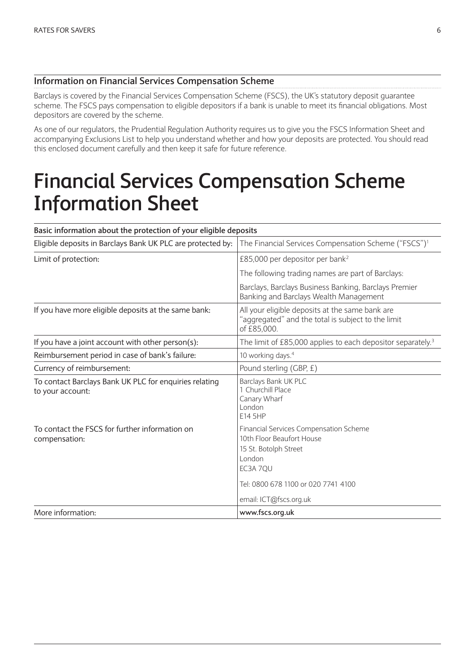# **Information on Financial Services Compensation Scheme**

Barclays is covered by the Financial Services Compensation Scheme (FSCS), the UK's statutory deposit guarantee scheme. The FSCS pays compensation to eligible depositors if a bank is unable to meet its financial obligations. Most depositors are covered by the scheme.

As one of our regulators, the Prudential Regulation Authority requires us to give you the FSCS Information Sheet and accompanying Exclusions List to help you understand whether and how your deposits are protected. You should read this enclosed document carefully and then keep it safe for future reference.

# **Financial Services Compensation Scheme Information Sheet**

| Basic information about the protection of your eligible deposits           |                                                                                                                                                                                     |
|----------------------------------------------------------------------------|-------------------------------------------------------------------------------------------------------------------------------------------------------------------------------------|
| Eligible deposits in Barclays Bank UK PLC are protected by:                | The Financial Services Compensation Scheme ("FSCS") <sup>1</sup>                                                                                                                    |
| Limit of protection:                                                       | £85,000 per depositor per bank <sup>2</sup>                                                                                                                                         |
|                                                                            | The following trading names are part of Barclays:                                                                                                                                   |
|                                                                            | Barclays, Barclays Business Banking, Barclays Premier<br>Banking and Barclays Wealth Management                                                                                     |
| If you have more eligible deposits at the same bank:                       | All your eligible deposits at the same bank are<br>"aggregated" and the total is subject to the limit<br>of £85,000.                                                                |
| If you have a joint account with other person(s):                          | The limit of £85,000 applies to each depositor separately. <sup>3</sup>                                                                                                             |
| Reimbursement period in case of bank's failure:                            | 10 working days. <sup>4</sup>                                                                                                                                                       |
| Currency of reimbursement:                                                 | Pound sterling (GBP, £)                                                                                                                                                             |
| To contact Barclays Bank UK PLC for enquiries relating<br>to your account: | Barclays Bank UK PLC<br>1 Churchill Place<br>Canary Wharf<br>London<br>E14 5HP                                                                                                      |
| To contact the FSCS for further information on<br>compensation:            | Financial Services Compensation Scheme<br>10th Floor Beaufort House<br>15 St. Botolph Street<br>London<br>EC3A 7OU<br>Tel: 0800 678 1100 or 020 7741 4100<br>email: ICT@fscs.org.uk |
| More information:                                                          | www.fscs.org.uk                                                                                                                                                                     |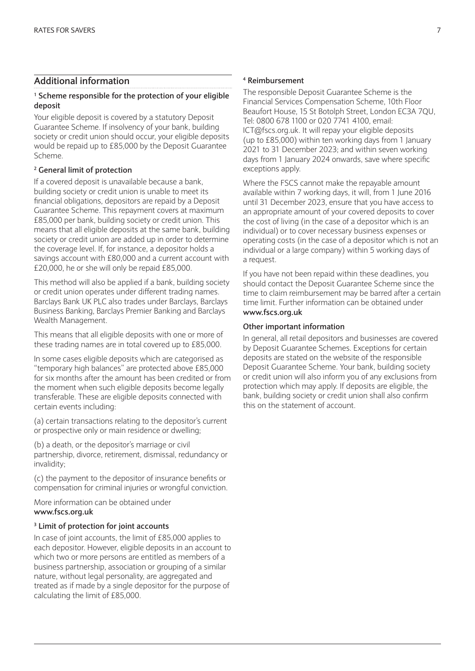# **Additional information**

#### **1 Scheme responsible for the protection of your eligible deposit**

Your eligible deposit is covered by a statutory Deposit Guarantee Scheme. If insolvency of your bank, building society or credit union should occur, your eligible deposits would be repaid up to £85,000 by the Deposit Guarantee Scheme.

#### **2 General limit of protection**

If a covered deposit is unavailable because a bank, building society or credit union is unable to meet its financial obligations, depositors are repaid by a Deposit Guarantee Scheme. This repayment covers at maximum £85,000 per bank, building society or credit union. This means that all eligible deposits at the same bank, building society or credit union are added up in order to determine the coverage level. If, for instance, a depositor holds a savings account with £80,000 and a current account with £20,000, he or she will only be repaid £85,000.

This method will also be applied if a bank, building society or credit union operates under different trading names. Barclays Bank UK PLC also trades under Barclays, Barclays Business Banking, Barclays Premier Banking and Barclays Wealth Management.

This means that all eligible deposits with one or more of these trading names are in total covered up to £85,000.

In some cases eligible deposits which are categorised as "temporary high balances" are protected above £85,000 for six months after the amount has been credited or from the moment when such eligible deposits become legally transferable. These are eligible deposits connected with certain events including:

(a) certain transactions relating to the depositor's current or prospective only or main residence or dwelling;

(b) a death, or the depositor's marriage or civil partnership, divorce, retirement, dismissal, redundancy or invalidity;

(c) the payment to the depositor of insurance benefits or compensation for criminal injuries or wrongful conviction.

More information can be obtained under **www.fscs.org.uk**

### **3 Limit of protection for joint accounts**

In case of joint accounts, the limit of £85,000 applies to each depositor. However, eligible deposits in an account to which two or more persons are entitled as members of a business partnership, association or grouping of a similar nature, without legal personality, are aggregated and treated as if made by a single depositor for the purpose of calculating the limit of £85,000.

#### **4 Reimbursement**

The responsible Deposit Guarantee Scheme is the Financial Services Compensation Scheme, 10th Floor Beaufort House, 15 St Botolph Street, London EC3A 7QU, Tel: 0800 678 1100 or 020 7741 4100, email: ICT@fscs.org.uk. It will repay your eligible deposits (up to £85,000) within ten working days from 1 January 2021 to 31 December 2023; and within seven working days from 1 January 2024 onwards, save where specific exceptions apply.

Where the FSCS cannot make the repayable amount available within 7 working days, it will, from 1 June 2016 until 31 December 2023, ensure that you have access to an appropriate amount of your covered deposits to cover the cost of living (in the case of a depositor which is an individual) or to cover necessary business expenses or operating costs (in the case of a depositor which is not an individual or a large company) within 5 working days of a request.

If you have not been repaid within these deadlines, you should contact the Deposit Guarantee Scheme since the time to claim reimbursement may be barred after a certain time limit. Further information can be obtained under **www.fscs.org.uk**

#### **Other important information**

In general, all retail depositors and businesses are covered by Deposit Guarantee Schemes. Exceptions for certain deposits are stated on the website of the responsible Deposit Guarantee Scheme. Your bank, building society or credit union will also inform you of any exclusions from protection which may apply. If deposits are eligible, the bank, building society or credit union shall also confirm this on the statement of account.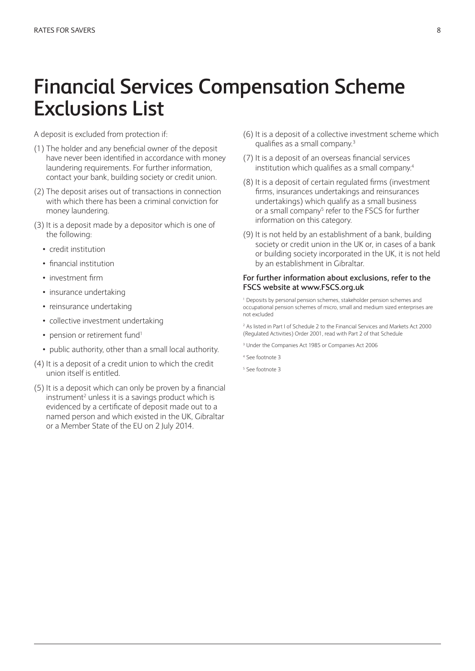# **Financial Services Compensation Scheme Exclusions List**

A deposit is excluded from protection if:

- (1) The holder and any beneficial owner of the deposit have never been identified in accordance with money laundering requirements. For further information, contact your bank, building society or credit union.
- (2) The deposit arises out of transactions in connection with which there has been a criminal conviction for money laundering.
- (3) It is a deposit made by a depositor which is one of the following:
	- credit institution
	- financial institution
	- investment firm
	- insurance undertaking
	- reinsurance undertaking
	- collective investment undertaking
	- pension or retirement fund<sup>1</sup>
	- public authority, other than a small local authority.
- (4) It is a deposit of a credit union to which the credit union itself is entitled.
- (5) It is a deposit which can only be proven by a financial instrument<sup>2</sup> unless it is a savings product which is evidenced by a certificate of deposit made out to a named person and which existed in the UK, Gibraltar or a Member State of the EU on 2 July 2014.
- (6) It is a deposit of a collective investment scheme which qualifies as a small company.3
- (7) It is a deposit of an overseas financial services institution which qualifies as a small company.4
- (8) It is a deposit of certain regulated firms (investment firms, insurances undertakings and reinsurances undertakings) which qualify as a small business or a small company<sup>5</sup> refer to the FSCS for further information on this category.
- (9) It is not held by an establishment of a bank, building society or credit union in the UK or, in cases of a bank or building society incorporated in the UK, it is not held by an establishment in Gibraltar.

#### **For further information about exclusions, refer to the FSCS website at www.FSCS.org.uk**

1 Deposits by personal pension schemes, stakeholder pension schemes and occupational pension schemes of micro, small and medium sized enterprises are not excluded

2 As listed in Part I of Schedule 2 to the Financial Services and Markets Act 2000 (Regulated Activities) Order 2001, read with Part 2 of that Schedule

- 3 Under the Companies Act 1985 or Companies Act 2006
- 4 See footnote 3
- 5 See footnote 3